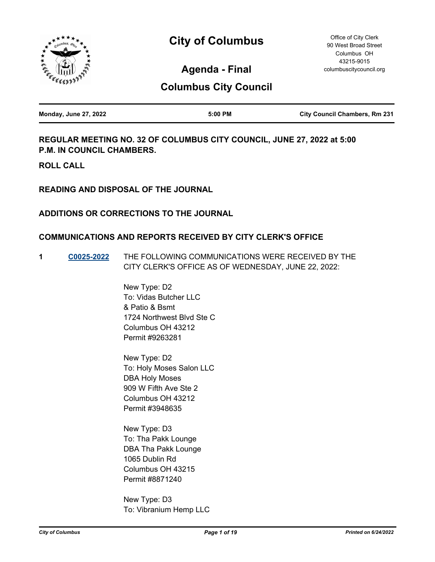



Office of City Clerk 90 West Broad Street Columbus OH 43215-9015 columbuscitycouncil.org

**Agenda - Final**

# **Columbus City Council**

| <b>Monday, June 27, 2022</b> | 5:00 PM | <b>City Council Chambers, Rm 231</b> |
|------------------------------|---------|--------------------------------------|
|                              |         |                                      |

**REGULAR MEETING NO. 32 OF COLUMBUS CITY COUNCIL, JUNE 27, 2022 at 5:00 P.M. IN COUNCIL CHAMBERS.**

**ROLL CALL**

**READING AND DISPOSAL OF THE JOURNAL**

# **ADDITIONS OR CORRECTIONS TO THE JOURNAL**

## **COMMUNICATIONS AND REPORTS RECEIVED BY CITY CLERK'S OFFICE**

**1 [C0025-2022](http://columbus.legistar.com/gateway.aspx?m=l&id=/matter.aspx?key=123399)** THE FOLLOWING COMMUNICATIONS WERE RECEIVED BY THE CITY CLERK'S OFFICE AS OF WEDNESDAY, JUNE 22, 2022:

> New Type: D2 To: Vidas Butcher LLC & Patio & Bsmt 1724 Northwest Blvd Ste C Columbus OH 43212 Permit #9263281

> New Type: D2 To: Holy Moses Salon LLC DBA Holy Moses 909 W Fifth Ave Ste 2 Columbus OH 43212 Permit #3948635

New Type: D3 To: Tha Pakk Lounge DBA Tha Pakk Lounge 1065 Dublin Rd Columbus OH 43215 Permit #8871240

New Type: D3 To: Vibranium Hemp LLC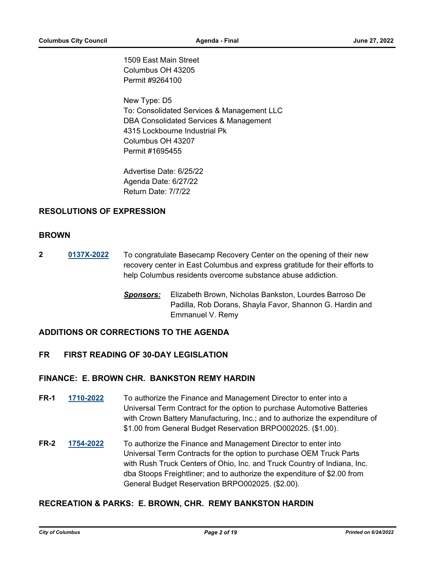1509 East Main Street Columbus OH 43205 Permit #9264100

New Type: D5 To: Consolidated Services & Management LLC DBA Consolidated Services & Management 4315 Lockbourne Industrial Pk Columbus OH 43207 Permit #1695455

Advertise Date: 6/25/22 Agenda Date: 6/27/22 Return Date: 7/7/22

# **RESOLUTIONS OF EXPRESSION**

## **BROWN**

- **2 [0137X-2022](http://columbus.legistar.com/gateway.aspx?m=l&id=/matter.aspx?key=123456)** To congratulate Basecamp Recovery Center on the opening of their new recovery center in East Columbus and express gratitude for their efforts to help Columbus residents overcome substance abuse addiction.
	- *Sponsors:* Elizabeth Brown, Nicholas Bankston, Lourdes Barroso De Padilla, Rob Dorans, Shayla Favor, Shannon G. Hardin and Emmanuel V. Remy

# **ADDITIONS OR CORRECTIONS TO THE AGENDA**

## **FR FIRST READING OF 30-DAY LEGISLATION**

## **FINANCE: E. BROWN CHR. BANKSTON REMY HARDIN**

- **FR-1 [1710-2022](http://columbus.legistar.com/gateway.aspx?m=l&id=/matter.aspx?key=123231)** To authorize the Finance and Management Director to enter into a Universal Term Contract for the option to purchase Automotive Batteries with Crown Battery Manufacturing, Inc.; and to authorize the expenditure of \$1.00 from General Budget Reservation BRPO002025. (\$1.00).
- **FR-2 [1754-2022](http://columbus.legistar.com/gateway.aspx?m=l&id=/matter.aspx?key=123275)** To authorize the Finance and Management Director to enter into Universal Term Contracts for the option to purchase OEM Truck Parts with Rush Truck Centers of Ohio, Inc. and Truck Country of Indiana, Inc. dba Stoops Freightliner; and to authorize the expenditure of \$2.00 from General Budget Reservation BRPO002025. (\$2.00).

## **RECREATION & PARKS: E. BROWN, CHR. REMY BANKSTON HARDIN**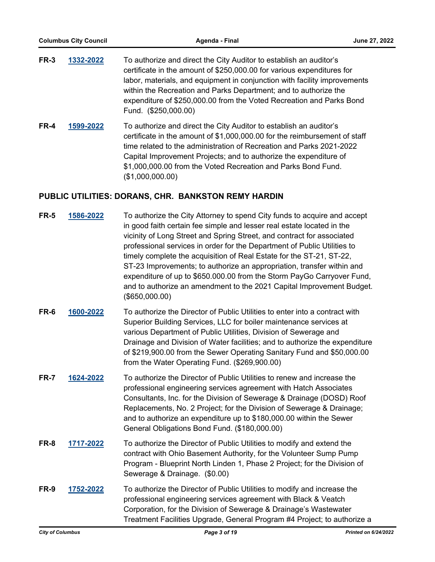| FR-3 | 1332-2022 | To authorize and direct the City Auditor to establish an auditor's                                                                                                                                                                |
|------|-----------|-----------------------------------------------------------------------------------------------------------------------------------------------------------------------------------------------------------------------------------|
|      |           | certificate in the amount of \$250,000.00 for various expenditures for                                                                                                                                                            |
|      |           | labor, materials, and equipment in conjunction with facility improvements                                                                                                                                                         |
|      |           | within the Recreation and Parks Department; and to authorize the                                                                                                                                                                  |
|      |           | expenditure of \$250,000.00 from the Voted Recreation and Parks Bond                                                                                                                                                              |
|      |           | Fund. (\$250,000.00)                                                                                                                                                                                                              |
|      |           | $\mathbf{a}$ , and the same contract and the same contract of the same contract of the same contract of the same contract of the same contract of the same contract of the same contract of the same contract of the same contrac |

**FR-4 [1599-2022](http://columbus.legistar.com/gateway.aspx?m=l&id=/matter.aspx?key=123119)** To authorize and direct the City Auditor to establish an auditor's certificate in the amount of \$1,000,000.00 for the reimbursement of staff time related to the administration of Recreation and Parks 2021-2022 Capital Improvement Projects; and to authorize the expenditure of \$1,000,000.00 from the Voted Recreation and Parks Bond Fund. (\$1,000,000.00)

# **PUBLIC UTILITIES: DORANS, CHR. BANKSTON REMY HARDIN**

| <b>FR-5</b> | 1586-2022 | To authorize the City Attorney to spend City funds to acquire and accept<br>in good faith certain fee simple and lesser real estate located in the<br>vicinity of Long Street and Spring Street, and contract for associated<br>professional services in order for the Department of Public Utilities to<br>timely complete the acquisition of Real Estate for the ST-21, ST-22,<br>ST-23 Improvements; to authorize an appropriation, transfer within and<br>expenditure of up to \$650.000.00 from the Storm PayGo Carryover Fund,<br>and to authorize an amendment to the 2021 Capital Improvement Budget.<br>(\$650,000.00) |
|-------------|-----------|---------------------------------------------------------------------------------------------------------------------------------------------------------------------------------------------------------------------------------------------------------------------------------------------------------------------------------------------------------------------------------------------------------------------------------------------------------------------------------------------------------------------------------------------------------------------------------------------------------------------------------|
| FR-6        | 1600-2022 | To authorize the Director of Public Utilities to enter into a contract with<br>Superior Building Services, LLC for boiler maintenance services at<br>various Department of Public Utilities, Division of Sewerage and<br>Drainage and Division of Water facilities; and to authorize the expenditure<br>of \$219,900.00 from the Sewer Operating Sanitary Fund and \$50,000.00<br>from the Water Operating Fund. (\$269,900.00)                                                                                                                                                                                                 |
| <b>FR-7</b> | 1624-2022 | To authorize the Director of Public Utilities to renew and increase the<br>professional engineering services agreement with Hatch Associates<br>Consultants, Inc. for the Division of Sewerage & Drainage (DOSD) Roof<br>Replacements, No. 2 Project; for the Division of Sewerage & Drainage;<br>and to authorize an expenditure up to \$180,000.00 within the Sewer<br>General Obligations Bond Fund. (\$180,000.00)                                                                                                                                                                                                          |
| FR-8        | 1717-2022 | To authorize the Director of Public Utilities to modify and extend the<br>contract with Ohio Basement Authority, for the Volunteer Sump Pump<br>Program - Blueprint North Linden 1, Phase 2 Project; for the Division of<br>Sewerage & Drainage. (\$0.00)                                                                                                                                                                                                                                                                                                                                                                       |
| FR-9        | 1752-2022 | To authorize the Director of Public Utilities to modify and increase the<br>professional engineering services agreement with Black & Veatch<br>Corporation, for the Division of Sewerage & Drainage's Wastewater<br>Treatment Facilities Upgrade, General Program #4 Project; to authorize a                                                                                                                                                                                                                                                                                                                                    |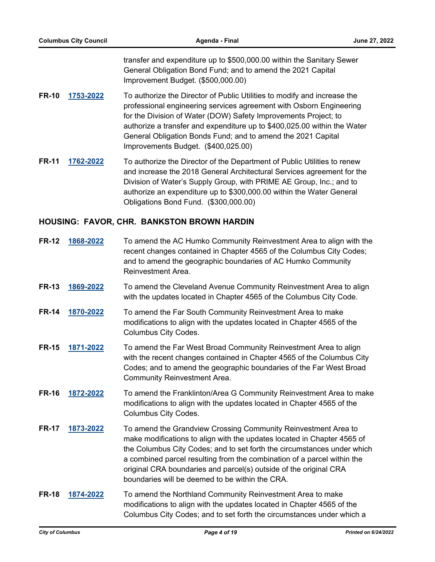transfer and expenditure up to \$500,000.00 within the Sanitary Sewer General Obligation Bond Fund; and to amend the 2021 Capital Improvement Budget. (\$500,000.00)

- **FR-10 [1753-2022](http://columbus.legistar.com/gateway.aspx?m=l&id=/matter.aspx?key=123274)** To authorize the Director of Public Utilities to modify and increase the professional engineering services agreement with Osborn Engineering for the Division of Water (DOW) Safety Improvements Project; to authorize a transfer and expenditure up to \$400,025.00 within the Water General Obligation Bonds Fund; and to amend the 2021 Capital Improvements Budget. (\$400,025.00)
- **FR-11 [1762-2022](http://columbus.legistar.com/gateway.aspx?m=l&id=/matter.aspx?key=123283)** To authorize the Director of the Department of Public Utilities to renew and increase the 2018 General Architectural Services agreement for the Division of Water's Supply Group, with PRIME AE Group, Inc.; and to authorize an expenditure up to \$300,000.00 within the Water General Obligations Bond Fund. (\$300,000.00)

### **HOUSING: FAVOR, CHR. BANKSTON BROWN HARDIN**

| <b>FR-12</b> | 1868-2022 | To amend the AC Humko Community Reinvestment Area to align with the<br>recent changes contained in Chapter 4565 of the Columbus City Codes;<br>and to amend the geographic boundaries of AC Humko Community<br>Reinvestment Area.                                                                                                                                                                                       |
|--------------|-----------|-------------------------------------------------------------------------------------------------------------------------------------------------------------------------------------------------------------------------------------------------------------------------------------------------------------------------------------------------------------------------------------------------------------------------|
| <b>FR-13</b> | 1869-2022 | To amend the Cleveland Avenue Community Reinvestment Area to align<br>with the updates located in Chapter 4565 of the Columbus City Code.                                                                                                                                                                                                                                                                               |
| <b>FR-14</b> | 1870-2022 | To amend the Far South Community Reinvestment Area to make<br>modifications to align with the updates located in Chapter 4565 of the<br><b>Columbus City Codes.</b>                                                                                                                                                                                                                                                     |
| <b>FR-15</b> | 1871-2022 | To amend the Far West Broad Community Reinvestment Area to align<br>with the recent changes contained in Chapter 4565 of the Columbus City<br>Codes; and to amend the geographic boundaries of the Far West Broad<br><b>Community Reinvestment Area.</b>                                                                                                                                                                |
| <b>FR-16</b> | 1872-2022 | To amend the Franklinton/Area G Community Reinvestment Area to make<br>modifications to align with the updates located in Chapter 4565 of the<br><b>Columbus City Codes.</b>                                                                                                                                                                                                                                            |
| <b>FR-17</b> | 1873-2022 | To amend the Grandview Crossing Community Reinvestment Area to<br>make modifications to align with the updates located in Chapter 4565 of<br>the Columbus City Codes; and to set forth the circumstances under which<br>a combined parcel resulting from the combination of a parcel within the<br>original CRA boundaries and parcel(s) outside of the original CRA<br>boundaries will be deemed to be within the CRA. |
| <b>FR-18</b> | 1874-2022 | To amend the Northland Community Reinvestment Area to make<br>modifications to align with the updates located in Chapter 4565 of the<br>Columbus City Codes; and to set forth the circumstances under which a                                                                                                                                                                                                           |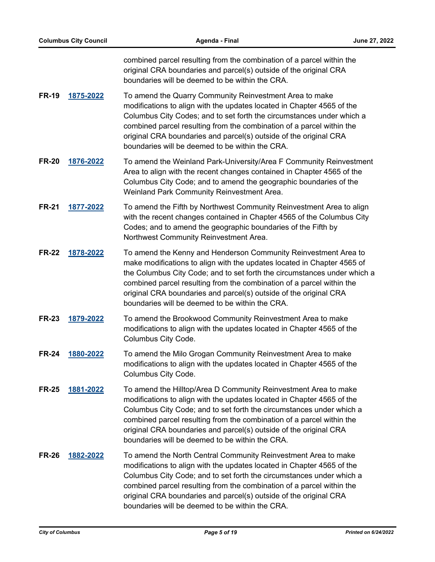combined parcel resulting from the combination of a parcel within the original CRA boundaries and parcel(s) outside of the original CRA boundaries will be deemed to be within the CRA.

- **FR-19 [1875-2022](http://columbus.legistar.com/gateway.aspx?m=l&id=/matter.aspx?key=123408)** To amend the Quarry Community Reinvestment Area to make modifications to align with the updates located in Chapter 4565 of the Columbus City Codes; and to set forth the circumstances under which a combined parcel resulting from the combination of a parcel within the original CRA boundaries and parcel(s) outside of the original CRA boundaries will be deemed to be within the CRA.
- **FR-20 [1876-2022](http://columbus.legistar.com/gateway.aspx?m=l&id=/matter.aspx?key=123409)** To amend the Weinland Park-University/Area F Community Reinvestment Area to align with the recent changes contained in Chapter 4565 of the Columbus City Code; and to amend the geographic boundaries of the Weinland Park Community Reinvestment Area.
- **FR-21 [1877-2022](http://columbus.legistar.com/gateway.aspx?m=l&id=/matter.aspx?key=123410)** To amend the Fifth by Northwest Community Reinvestment Area to align with the recent changes contained in Chapter 4565 of the Columbus City Codes; and to amend the geographic boundaries of the Fifth by Northwest Community Reinvestment Area.
- **FR-22 [1878-2022](http://columbus.legistar.com/gateway.aspx?m=l&id=/matter.aspx?key=123411)** To amend the Kenny and Henderson Community Reinvestment Area to make modifications to align with the updates located in Chapter 4565 of the Columbus City Code; and to set forth the circumstances under which a combined parcel resulting from the combination of a parcel within the original CRA boundaries and parcel(s) outside of the original CRA boundaries will be deemed to be within the CRA.
- **FR-23 [1879-2022](http://columbus.legistar.com/gateway.aspx?m=l&id=/matter.aspx?key=123412)** To amend the Brookwood Community Reinvestment Area to make modifications to align with the updates located in Chapter 4565 of the Columbus City Code.
- **FR-24 [1880-2022](http://columbus.legistar.com/gateway.aspx?m=l&id=/matter.aspx?key=123413)** To amend the Milo Grogan Community Reinvestment Area to make modifications to align with the updates located in Chapter 4565 of the Columbus City Code.
- **FR-25 [1881-2022](http://columbus.legistar.com/gateway.aspx?m=l&id=/matter.aspx?key=123414)** To amend the Hilltop/Area D Community Reinvestment Area to make modifications to align with the updates located in Chapter 4565 of the Columbus City Code; and to set forth the circumstances under which a combined parcel resulting from the combination of a parcel within the original CRA boundaries and parcel(s) outside of the original CRA boundaries will be deemed to be within the CRA.
- **FR-26 [1882-2022](http://columbus.legistar.com/gateway.aspx?m=l&id=/matter.aspx?key=123415)** To amend the North Central Community Reinvestment Area to make modifications to align with the updates located in Chapter 4565 of the Columbus City Code; and to set forth the circumstances under which a combined parcel resulting from the combination of a parcel within the original CRA boundaries and parcel(s) outside of the original CRA boundaries will be deemed to be within the CRA.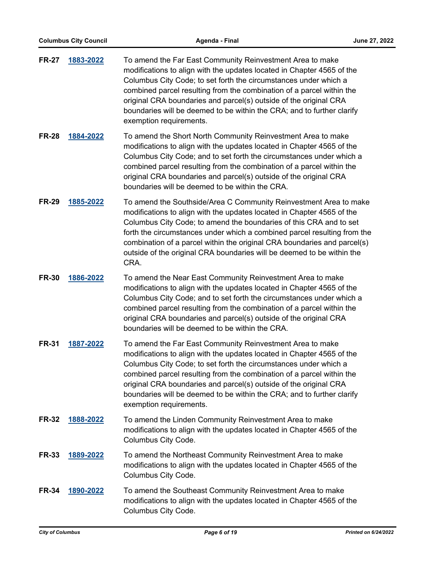| <b>FR-27</b> | 1883-2022 | To amend the Far East Community Reinvestment Area to make<br>modifications to align with the updates located in Chapter 4565 of the<br>Columbus City Code; to set forth the circumstances under which a<br>combined parcel resulting from the combination of a parcel within the<br>original CRA boundaries and parcel(s) outside of the original CRA<br>boundaries will be deemed to be within the CRA; and to further clarify<br>exemption requirements.  |
|--------------|-----------|-------------------------------------------------------------------------------------------------------------------------------------------------------------------------------------------------------------------------------------------------------------------------------------------------------------------------------------------------------------------------------------------------------------------------------------------------------------|
| <b>FR-28</b> | 1884-2022 | To amend the Short North Community Reinvestment Area to make<br>modifications to align with the updates located in Chapter 4565 of the<br>Columbus City Code; and to set forth the circumstances under which a<br>combined parcel resulting from the combination of a parcel within the<br>original CRA boundaries and parcel(s) outside of the original CRA<br>boundaries will be deemed to be within the CRA.                                             |
| <b>FR-29</b> | 1885-2022 | To amend the Southside/Area C Community Reinvestment Area to make<br>modifications to align with the updates located in Chapter 4565 of the<br>Columbus City Code; to amend the boundaries of this CRA and to set<br>forth the circumstances under which a combined parcel resulting from the<br>combination of a parcel within the original CRA boundaries and parcel(s)<br>outside of the original CRA boundaries will be deemed to be within the<br>CRA. |
| <b>FR-30</b> | 1886-2022 | To amend the Near East Community Reinvestment Area to make<br>modifications to align with the updates located in Chapter 4565 of the<br>Columbus City Code; and to set forth the circumstances under which a<br>combined parcel resulting from the combination of a parcel within the<br>original CRA boundaries and parcel(s) outside of the original CRA<br>boundaries will be deemed to be within the CRA.                                               |
| <b>FR-31</b> | 1887-2022 | To amend the Far East Community Reinvestment Area to make<br>modifications to align with the updates located in Chapter 4565 of the<br>Columbus City Code; to set forth the circumstances under which a<br>combined parcel resulting from the combination of a parcel within the<br>original CRA boundaries and parcel(s) outside of the original CRA<br>boundaries will be deemed to be within the CRA; and to further clarify<br>exemption requirements.  |
| <b>FR-32</b> | 1888-2022 | To amend the Linden Community Reinvestment Area to make<br>modifications to align with the updates located in Chapter 4565 of the<br>Columbus City Code.                                                                                                                                                                                                                                                                                                    |
| <b>FR-33</b> | 1889-2022 | To amend the Northeast Community Reinvestment Area to make<br>modifications to align with the updates located in Chapter 4565 of the<br>Columbus City Code.                                                                                                                                                                                                                                                                                                 |
| <b>FR-34</b> | 1890-2022 | To amend the Southeast Community Reinvestment Area to make<br>modifications to align with the updates located in Chapter 4565 of the<br>Columbus City Code.                                                                                                                                                                                                                                                                                                 |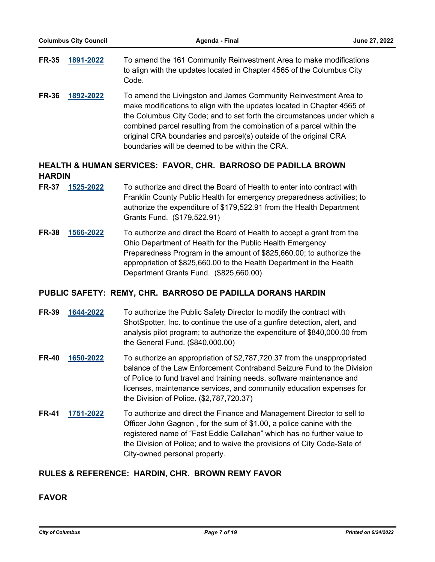| <b>FR-35</b> | 1891-2022 | To amend the 161 Community Reinvestment Area to make modifications<br>to align with the updates located in Chapter 4565 of the Columbus City<br>Code. |
|--------------|-----------|-------------------------------------------------------------------------------------------------------------------------------------------------------|
| <b>FR-36</b> | 1892-2022 | To amend the Livingston and James Community Reinvestment Area to                                                                                      |

make modifications to align with the updates located in Chapter 4565 of the Columbus City Code; and to set forth the circumstances under which a combined parcel resulting from the combination of a parcel within the original CRA boundaries and parcel(s) outside of the original CRA boundaries will be deemed to be within the CRA.

# **HEALTH & HUMAN SERVICES: FAVOR, CHR. BARROSO DE PADILLA BROWN HARDIN**

- **FR-37 [1525-2022](http://columbus.legistar.com/gateway.aspx?m=l&id=/matter.aspx?key=123043)** To authorize and direct the Board of Health to enter into contract with Franklin County Public Health for emergency preparedness activities; to authorize the expenditure of \$179,522.91 from the Health Department Grants Fund. (\$179,522.91)
- **FR-38 [1566-2022](http://columbus.legistar.com/gateway.aspx?m=l&id=/matter.aspx?key=123084)** To authorize and direct the Board of Health to accept a grant from the Ohio Department of Health for the Public Health Emergency Preparedness Program in the amount of \$825,660.00; to authorize the appropriation of \$825,660.00 to the Health Department in the Health Department Grants Fund. (\$825,660.00)

## **PUBLIC SAFETY: REMY, CHR. BARROSO DE PADILLA DORANS HARDIN**

- **FR-39 [1644-2022](http://columbus.legistar.com/gateway.aspx?m=l&id=/matter.aspx?key=123164)** To authorize the Public Safety Director to modify the contract with ShotSpotter, Inc. to continue the use of a gunfire detection, alert, and analysis pilot program; to authorize the expenditure of \$840,000.00 from the General Fund. (\$840,000.00)
- **FR-40 [1650-2022](http://columbus.legistar.com/gateway.aspx?m=l&id=/matter.aspx?key=123170)** To authorize an appropriation of \$2,787,720.37 from the unappropriated balance of the Law Enforcement Contraband Seizure Fund to the Division of Police to fund travel and training needs, software maintenance and licenses, maintenance services, and community education expenses for the Division of Police. (\$2,787,720.37)
- **FR-41 [1751-2022](http://columbus.legistar.com/gateway.aspx?m=l&id=/matter.aspx?key=123272)** To authorize and direct the Finance and Management Director to sell to Officer John Gagnon , for the sum of \$1.00, a police canine with the registered name of "Fast Eddie Callahan" which has no further value to the Division of Police; and to waive the provisions of City Code-Sale of City-owned personal property.

## **RULES & REFERENCE: HARDIN, CHR. BROWN REMY FAVOR**

# **FAVOR**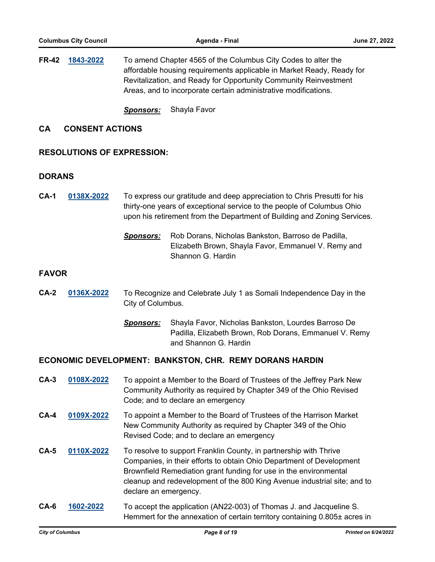**FR-42 [1843-2022](http://columbus.legistar.com/gateway.aspx?m=l&id=/matter.aspx?key=123376)** To amend Chapter 4565 of the Columbus City Codes to alter the affordable housing requirements applicable in Market Ready, Ready for Revitalization, and Ready for Opportunity Community Reinvestment Areas, and to incorporate certain administrative modifications.

*Sponsors:* Shayla Favor

### **CA CONSENT ACTIONS**

### **RESOLUTIONS OF EXPRESSION:**

#### **DORANS**

- **CA-1 [0138X-2022](http://columbus.legistar.com/gateway.aspx?m=l&id=/matter.aspx?key=123458)** To express our gratitude and deep appreciation to Chris Presutti for his thirty-one years of exceptional service to the people of Columbus Ohio upon his retirement from the Department of Building and Zoning Services.
	- *Sponsors:* Rob Dorans, Nicholas Bankston, Barroso de Padilla, Elizabeth Brown, Shayla Favor, Emmanuel V. Remy and Shannon G. Hardin

### **FAVOR**

- **CA-2 [0136X-2022](http://columbus.legistar.com/gateway.aspx?m=l&id=/matter.aspx?key=123454)** To Recognize and Celebrate July 1 as Somali Independence Day in the City of Columbus.
	- *Sponsors:* Shayla Favor, Nicholas Bankston, Lourdes Barroso De Padilla, Elizabeth Brown, Rob Dorans, Emmanuel V. Remy and Shannon G. Hardin

#### **ECONOMIC DEVELOPMENT: BANKSTON, CHR. REMY DORANS HARDIN**

- **CA-3 [0108X-2022](http://columbus.legistar.com/gateway.aspx?m=l&id=/matter.aspx?key=123182)** To appoint a Member to the Board of Trustees of the Jeffrey Park New Community Authority as required by Chapter 349 of the Ohio Revised Code; and to declare an emergency
- **CA-4 [0109X-2022](http://columbus.legistar.com/gateway.aspx?m=l&id=/matter.aspx?key=122867)** To appoint a Member to the Board of Trustees of the Harrison Market New Community Authority as required by Chapter 349 of the Ohio Revised Code; and to declare an emergency
- **CA-5 [0110X-2022](http://columbus.legistar.com/gateway.aspx?m=l&id=/matter.aspx?key=123185)** To resolve to support Franklin County, in partnership with Thrive Companies, in their efforts to obtain Ohio Department of Development Brownfield Remediation grant funding for use in the environmental cleanup and redevelopment of the 800 King Avenue industrial site; and to declare an emergency.
- **CA-6 [1602-2022](http://columbus.legistar.com/gateway.aspx?m=l&id=/matter.aspx?key=123122)** To accept the application (AN22-003) of Thomas J. and Jacqueline S. Hemmert for the annexation of certain territory containing 0.805± acres in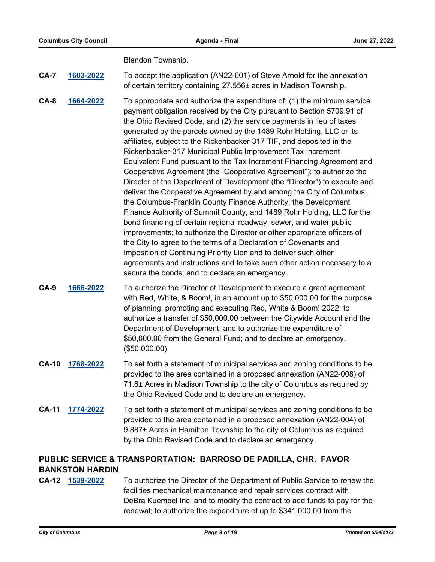Blendon Township.

**CA-7 [1603-2022](http://columbus.legistar.com/gateway.aspx?m=l&id=/matter.aspx?key=123123)** To accept the application (AN22-001) of Steve Arnold for the annexation of certain territory containing 27.556± acres in Madison Township.

**CA-8 [1664-2022](http://columbus.legistar.com/gateway.aspx?m=l&id=/matter.aspx?key=123184)** To appropriate and authorize the expenditure of: (1) the minimum service payment obligation received by the City pursuant to Section 5709.91 of the Ohio Revised Code, and (2) the service payments in lieu of taxes generated by the parcels owned by the 1489 Rohr Holding, LLC or its affiliates, subject to the Rickenbacker-317 TIF, and deposited in the Rickenbacker-317 Municipal Public Improvement Tax Increment Equivalent Fund pursuant to the Tax Increment Financing Agreement and Cooperative Agreement (the "Cooperative Agreement"); to authorize the Director of the Department of Development (the "Director") to execute and deliver the Cooperative Agreement by and among the City of Columbus, the Columbus-Franklin County Finance Authority, the Development Finance Authority of Summit County, and 1489 Rohr Holding, LLC for the bond financing of certain regional roadway, sewer, and water public improvements; to authorize the Director or other appropriate officers of the City to agree to the terms of a Declaration of Covenants and Imposition of Continuing Priority Lien and to deliver such other agreements and instructions and to take such other action necessary to a secure the bonds; and to declare an emergency.

- **CA-9 [1666-2022](http://columbus.legistar.com/gateway.aspx?m=l&id=/matter.aspx?key=123186)** To authorize the Director of Development to execute a grant agreement with Red, White, & Boom!, in an amount up to \$50,000.00 for the purpose of planning, promoting and executing Red, White & Boom! 2022; to authorize a transfer of \$50,000.00 between the Citywide Account and the Department of Development; and to authorize the expenditure of \$50,000.00 from the General Fund; and to declare an emergency. (\$50,000.00)
- **CA-10 [1768-2022](http://columbus.legistar.com/gateway.aspx?m=l&id=/matter.aspx?key=123289)** To set forth a statement of municipal services and zoning conditions to be provided to the area contained in a proposed annexation (AN22-008) of 71.6± Acres in Madison Township to the city of Columbus as required by the Ohio Revised Code and to declare an emergency.
- **CA-11 [1774-2022](http://columbus.legistar.com/gateway.aspx?m=l&id=/matter.aspx?key=123295)** To set forth a statement of municipal services and zoning conditions to be provided to the area contained in a proposed annexation (AN22-004) of 9.887± Acres in Hamilton Township to the city of Columbus as required by the Ohio Revised Code and to declare an emergency.

# **PUBLIC SERVICE & TRANSPORTATION: BARROSO DE PADILLA, CHR. FAVOR BANKSTON HARDIN**

**CA-12 [1539-2022](http://columbus.legistar.com/gateway.aspx?m=l&id=/matter.aspx?key=123057)** To authorize the Director of the Department of Public Service to renew the facilities mechanical maintenance and repair services contract with DeBra Kuempel Inc. and to modify the contract to add funds to pay for the renewal; to authorize the expenditure of up to \$341,000.00 from the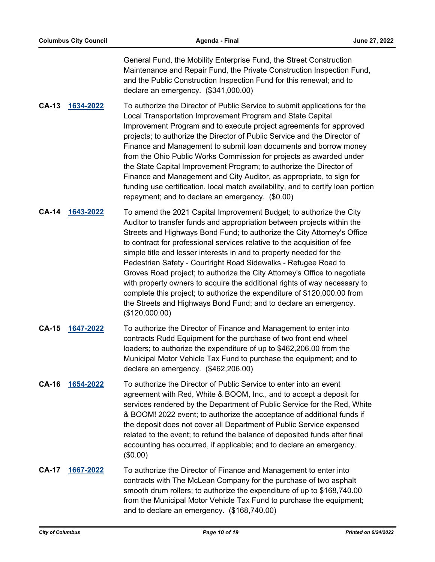General Fund, the Mobility Enterprise Fund, the Street Construction Maintenance and Repair Fund, the Private Construction Inspection Fund, and the Public Construction Inspection Fund for this renewal; and to declare an emergency. (\$341,000.00)

**CA-13 [1634-2022](http://columbus.legistar.com/gateway.aspx?m=l&id=/matter.aspx?key=123154)** To authorize the Director of Public Service to submit applications for the Local Transportation Improvement Program and State Capital Improvement Program and to execute project agreements for approved projects; to authorize the Director of Public Service and the Director of Finance and Management to submit loan documents and borrow money from the Ohio Public Works Commission for projects as awarded under the State Capital Improvement Program; to authorize the Director of Finance and Management and City Auditor, as appropriate, to sign for funding use certification, local match availability, and to certify loan portion repayment; and to declare an emergency. (\$0.00)

- **CA-14 [1643-2022](http://columbus.legistar.com/gateway.aspx?m=l&id=/matter.aspx?key=123163)** To amend the 2021 Capital Improvement Budget; to authorize the City Auditor to transfer funds and appropriation between projects within the Streets and Highways Bond Fund; to authorize the City Attorney's Office to contract for professional services relative to the acquisition of fee simple title and lesser interests in and to property needed for the Pedestrian Safety - Courtright Road Sidewalks - Refugee Road to Groves Road project; to authorize the City Attorney's Office to negotiate with property owners to acquire the additional rights of way necessary to complete this project; to authorize the expenditure of \$120,000.00 from the Streets and Highways Bond Fund; and to declare an emergency. (\$120,000.00)
- **CA-15 [1647-2022](http://columbus.legistar.com/gateway.aspx?m=l&id=/matter.aspx?key=123167)** To authorize the Director of Finance and Management to enter into contracts Rudd Equipment for the purchase of two front end wheel loaders; to authorize the expenditure of up to \$462,206.00 from the Municipal Motor Vehicle Tax Fund to purchase the equipment; and to declare an emergency. (\$462,206.00)
- **CA-16 [1654-2022](http://columbus.legistar.com/gateway.aspx?m=l&id=/matter.aspx?key=123174)** To authorize the Director of Public Service to enter into an event agreement with Red, White & BOOM, Inc., and to accept a deposit for services rendered by the Department of Public Service for the Red, White & BOOM! 2022 event; to authorize the acceptance of additional funds if the deposit does not cover all Department of Public Service expensed related to the event; to refund the balance of deposited funds after final accounting has occurred, if applicable; and to declare an emergency. (\$0.00)
- **CA-17 [1667-2022](http://columbus.legistar.com/gateway.aspx?m=l&id=/matter.aspx?key=123187)** To authorize the Director of Finance and Management to enter into contracts with The McLean Company for the purchase of two asphalt smooth drum rollers; to authorize the expenditure of up to \$168,740.00 from the Municipal Motor Vehicle Tax Fund to purchase the equipment; and to declare an emergency. (\$168,740.00)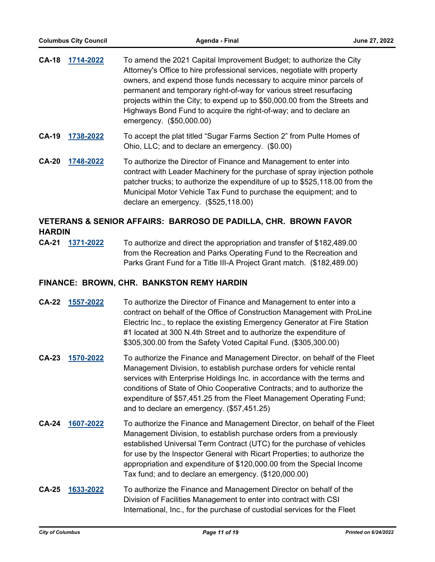| <b>CA-18</b> | 1714-2022 | To amend the 2021 Capital Improvement Budget; to authorize the City<br>Attorney's Office to hire professional services, negotiate with property<br>owners, and expend those funds necessary to acquire minor parcels of<br>permanent and temporary right-of-way for various street resurfacing<br>projects within the City; to expend up to \$50,000.00 from the Streets and<br>Highways Bond Fund to acquire the right-of-way; and to declare an<br>emergency. (\$50,000.00) |
|--------------|-----------|-------------------------------------------------------------------------------------------------------------------------------------------------------------------------------------------------------------------------------------------------------------------------------------------------------------------------------------------------------------------------------------------------------------------------------------------------------------------------------|
| <b>CA-19</b> | 1738-2022 | To accept the plat titled "Sugar Farms Section 2" from Pulte Homes of<br>Ohio, LLC; and to declare an emergency. (\$0.00)                                                                                                                                                                                                                                                                                                                                                     |

**CA-20 [1748-2022](http://columbus.legistar.com/gateway.aspx?m=l&id=/matter.aspx?key=123269)** To authorize the Director of Finance and Management to enter into contract with Leader Machinery for the purchase of spray injection pothole patcher trucks; to authorize the expenditure of up to \$525,118.00 from the Municipal Motor Vehicle Tax Fund to purchase the equipment; and to declare an emergency. (\$525,118.00)

# **VETERANS & SENIOR AFFAIRS: BARROSO DE PADILLA, CHR. BROWN FAVOR HARDIN**

**CA-21 [1371-2022](http://columbus.legistar.com/gateway.aspx?m=l&id=/matter.aspx?key=122887)** To authorize and direct the appropriation and transfer of \$182,489.00 from the Recreation and Parks Operating Fund to the Recreation and Parks Grant Fund for a Title III-A Project Grant match. (\$182,489.00)

## **FINANCE: BROWN, CHR. BANKSTON REMY HARDIN**

| CA-22 1557-2022 | To authorize the Director of Finance and Management to enter into a        |
|-----------------|----------------------------------------------------------------------------|
|                 | contract on behalf of the Office of Construction Management with ProLine   |
|                 | Electric Inc., to replace the existing Emergency Generator at Fire Station |
|                 | #1 located at 300 N.4th Street and to authorize the expenditure of         |
|                 | \$305,300.00 from the Safety Voted Capital Fund. (\$305,300.00)            |

- **CA-23 [1570-2022](http://columbus.legistar.com/gateway.aspx?m=l&id=/matter.aspx?key=123088)** To authorize the Finance and Management Director, on behalf of the Fleet Management Division, to establish purchase orders for vehicle rental services with Enterprise Holdings Inc. in accordance with the terms and conditions of State of Ohio Cooperative Contracts; and to authorize the expenditure of \$57,451.25 from the Fleet Management Operating Fund; and to declare an emergency. (\$57,451.25)
- **CA-24 [1607-2022](http://columbus.legistar.com/gateway.aspx?m=l&id=/matter.aspx?key=123127)** To authorize the Finance and Management Director, on behalf of the Fleet Management Division, to establish purchase orders from a previously established Universal Term Contract (UTC) for the purchase of vehicles for use by the Inspector General with Ricart Properties; to authorize the appropriation and expenditure of \$120,000.00 from the Special Income Tax fund; and to declare an emergency. (\$120,000.00)
- **CA-25 [1633-2022](http://columbus.legistar.com/gateway.aspx?m=l&id=/matter.aspx?key=123153)** To authorize the Finance and Management Director on behalf of the Division of Facilities Management to enter into contract with CSI International, Inc., for the purchase of custodial services for the Fleet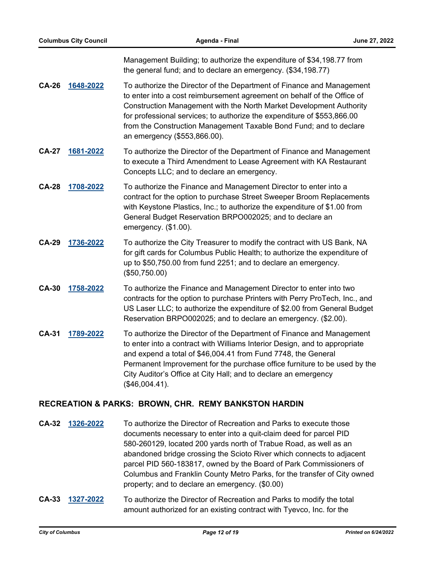Management Building; to authorize the expenditure of \$34,198.77 from the general fund; and to declare an emergency. (\$34,198.77)

- **CA-26 [1648-2022](http://columbus.legistar.com/gateway.aspx?m=l&id=/matter.aspx?key=123168)** To authorize the Director of the Department of Finance and Management to enter into a cost reimbursement agreement on behalf of the Office of Construction Management with the North Market Development Authority for professional services; to authorize the expenditure of \$553,866.00 from the Construction Management Taxable Bond Fund; and to declare an emergency (\$553,866.00).
- **CA-27 [1681-2022](http://columbus.legistar.com/gateway.aspx?m=l&id=/matter.aspx?key=123202)** To authorize the Director of the Department of Finance and Management to execute a Third Amendment to Lease Agreement with KA Restaurant Concepts LLC; and to declare an emergency.
- **CA-28 [1708-2022](http://columbus.legistar.com/gateway.aspx?m=l&id=/matter.aspx?key=123229)** To authorize the Finance and Management Director to enter into a contract for the option to purchase Street Sweeper Broom Replacements with Keystone Plastics, Inc.; to authorize the expenditure of \$1.00 from General Budget Reservation BRPO002025; and to declare an emergency. (\$1.00).
- **CA-29 [1736-2022](http://columbus.legistar.com/gateway.aspx?m=l&id=/matter.aspx?key=123257)** To authorize the City Treasurer to modify the contract with US Bank, NA for gift cards for Columbus Public Health; to authorize the expenditure of up to \$50,750.00 from fund 2251; and to declare an emergency. (\$50,750.00)
- **CA-30 [1758-2022](http://columbus.legistar.com/gateway.aspx?m=l&id=/matter.aspx?key=123279)** To authorize the Finance and Management Director to enter into two contracts for the option to purchase Printers with Perry ProTech, Inc., and US Laser LLC; to authorize the expenditure of \$2.00 from General Budget Reservation BRPO002025; and to declare an emergency. (\$2.00).
- **CA-31 [1789-2022](http://columbus.legistar.com/gateway.aspx?m=l&id=/matter.aspx?key=123310)** To authorize the Director of the Department of Finance and Management to enter into a contract with Williams Interior Design, and to appropriate and expend a total of \$46,004.41 from Fund 7748, the General Permanent Improvement for the purchase office furniture to be used by the City Auditor's Office at City Hall; and to declare an emergency (\$46,004.41).

## **RECREATION & PARKS: BROWN, CHR. REMY BANKSTON HARDIN**

- **CA-32 [1326-2022](http://columbus.legistar.com/gateway.aspx?m=l&id=/matter.aspx?key=122842)** To authorize the Director of Recreation and Parks to execute those documents necessary to enter into a quit-claim deed for parcel PID 580-260129, located 200 yards north of Trabue Road, as well as an abandoned bridge crossing the Scioto River which connects to adjacent parcel PID 560-183817, owned by the Board of Park Commissioners of Columbus and Franklin County Metro Parks, for the transfer of City owned property; and to declare an emergency. (\$0.00)
- **CA-33 [1327-2022](http://columbus.legistar.com/gateway.aspx?m=l&id=/matter.aspx?key=122843)** To authorize the Director of Recreation and Parks to modify the total amount authorized for an existing contract with Tyevco, Inc. for the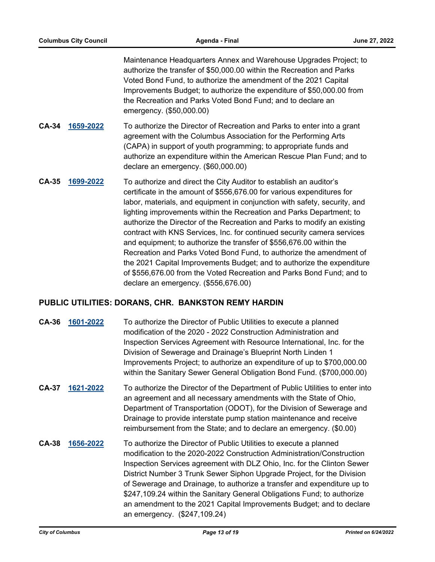Maintenance Headquarters Annex and Warehouse Upgrades Project; to authorize the transfer of \$50,000.00 within the Recreation and Parks Voted Bond Fund, to authorize the amendment of the 2021 Capital Improvements Budget; to authorize the expenditure of \$50,000.00 from the Recreation and Parks Voted Bond Fund; and to declare an emergency. (\$50,000.00)

- **CA-34 [1659-2022](http://columbus.legistar.com/gateway.aspx?m=l&id=/matter.aspx?key=123179)** To authorize the Director of Recreation and Parks to enter into a grant agreement with the Columbus Association for the Performing Arts (CAPA) in support of youth programming; to appropriate funds and authorize an expenditure within the American Rescue Plan Fund; and to declare an emergency. (\$60,000.00)
- **CA-35 [1699-2022](http://columbus.legistar.com/gateway.aspx?m=l&id=/matter.aspx?key=123220)** To authorize and direct the City Auditor to establish an auditor's certificate in the amount of \$556,676.00 for various expenditures for labor, materials, and equipment in conjunction with safety, security, and lighting improvements within the Recreation and Parks Department; to authorize the Director of the Recreation and Parks to modify an existing contract with KNS Services, Inc. for continued security camera services and equipment; to authorize the transfer of \$556,676.00 within the Recreation and Parks Voted Bond Fund, to authorize the amendment of the 2021 Capital Improvements Budget; and to authorize the expenditure of \$556,676.00 from the Voted Recreation and Parks Bond Fund; and to declare an emergency. (\$556,676.00)

### **PUBLIC UTILITIES: DORANS, CHR. BANKSTON REMY HARDIN**

| <b>CA-36</b> | 1601-2022 | To authorize the Director of Public Utilities to execute a planned<br>modification of the 2020 - 2022 Construction Administration and<br>Inspection Services Agreement with Resource International, Inc. for the<br>Division of Sewerage and Drainage's Blueprint North Linden 1<br>Improvements Project; to authorize an expenditure of up to \$700,000.00<br>within the Sanitary Sewer General Obligation Bond Fund. (\$700,000.00)                                                                                                                           |
|--------------|-----------|-----------------------------------------------------------------------------------------------------------------------------------------------------------------------------------------------------------------------------------------------------------------------------------------------------------------------------------------------------------------------------------------------------------------------------------------------------------------------------------------------------------------------------------------------------------------|
| <b>CA-37</b> | 1621-2022 | To authorize the Director of the Department of Public Utilities to enter into<br>an agreement and all necessary amendments with the State of Ohio,<br>Department of Transportation (ODOT), for the Division of Sewerage and<br>Drainage to provide interstate pump station maintenance and receive<br>reimbursement from the State; and to declare an emergency. (\$0.00)                                                                                                                                                                                       |
| <b>CA-38</b> | 1656-2022 | To authorize the Director of Public Utilities to execute a planned<br>modification to the 2020-2022 Construction Administration/Construction<br>Inspection Services agreement with DLZ Ohio, Inc. for the Clinton Sewer<br>District Number 3 Trunk Sewer Siphon Upgrade Project, for the Division<br>of Sewerage and Drainage, to authorize a transfer and expenditure up to<br>\$247,109.24 within the Sanitary General Obligations Fund; to authorize<br>an amendment to the 2021 Capital Improvements Budget; and to declare<br>an emergency. (\$247,109.24) |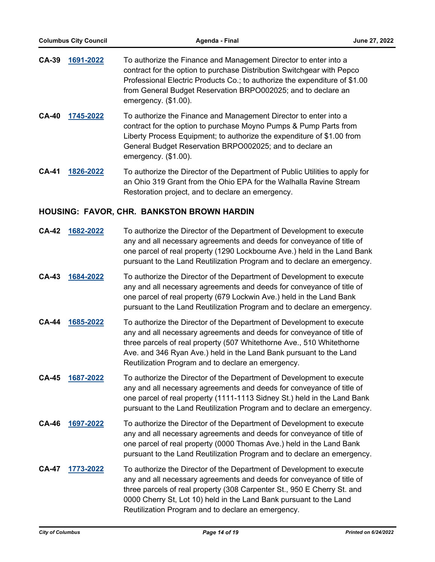| CA-39 | 1691-2022 | To authorize the Finance and Management Director to enter into a           |
|-------|-----------|----------------------------------------------------------------------------|
|       |           | contract for the option to purchase Distribution Switchgear with Pepco     |
|       |           | Professional Electric Products Co.; to authorize the expenditure of \$1.00 |
|       |           | from General Budget Reservation BRPO002025; and to declare an              |
|       |           | emergency. $(\$1.00)$ .                                                    |

- **CA-40 [1745-2022](http://columbus.legistar.com/gateway.aspx?m=l&id=/matter.aspx?key=123266)** To authorize the Finance and Management Director to enter into a contract for the option to purchase Moyno Pumps & Pump Parts from Liberty Process Equipment; to authorize the expenditure of \$1.00 from General Budget Reservation BRPO002025; and to declare an emergency. (\$1.00).
- **CA-41 [1826-2022](http://columbus.legistar.com/gateway.aspx?m=l&id=/matter.aspx?key=123359)** To authorize the Director of the Department of Public Utilities to apply for an Ohio 319 Grant from the Ohio EPA for the Walhalla Ravine Stream Restoration project, and to declare an emergency.

### **HOUSING: FAVOR, CHR. BANKSTON BROWN HARDIN**

| <b>CA-42</b> | 1682-2022 | To authorize the Director of the Department of Development to execute<br>any and all necessary agreements and deeds for conveyance of title of<br>one parcel of real property (1290 Lockbourne Ave.) held in the Land Bank<br>pursuant to the Land Reutilization Program and to declare an emergency.                                                 |
|--------------|-----------|-------------------------------------------------------------------------------------------------------------------------------------------------------------------------------------------------------------------------------------------------------------------------------------------------------------------------------------------------------|
| <b>CA-43</b> | 1684-2022 | To authorize the Director of the Department of Development to execute<br>any and all necessary agreements and deeds for conveyance of title of<br>one parcel of real property (679 Lockwin Ave.) held in the Land Bank<br>pursuant to the Land Reutilization Program and to declare an emergency.                                                     |
| <b>CA-44</b> | 1685-2022 | To authorize the Director of the Department of Development to execute<br>any and all necessary agreements and deeds for conveyance of title of<br>three parcels of real property (507 Whitethorne Ave., 510 Whitethorne<br>Ave. and 346 Ryan Ave.) held in the Land Bank pursuant to the Land<br>Reutilization Program and to declare an emergency.   |
| <b>CA-45</b> | 1687-2022 | To authorize the Director of the Department of Development to execute<br>any and all necessary agreements and deeds for conveyance of title of<br>one parcel of real property (1111-1113 Sidney St.) held in the Land Bank<br>pursuant to the Land Reutilization Program and to declare an emergency.                                                 |
| <b>CA-46</b> | 1697-2022 | To authorize the Director of the Department of Development to execute<br>any and all necessary agreements and deeds for conveyance of title of<br>one parcel of real property (0000 Thomas Ave.) held in the Land Bank<br>pursuant to the Land Reutilization Program and to declare an emergency.                                                     |
| <b>CA-47</b> | 1773-2022 | To authorize the Director of the Department of Development to execute<br>any and all necessary agreements and deeds for conveyance of title of<br>three parcels of real property (308 Carpenter St., 950 E Cherry St. and<br>0000 Cherry St, Lot 10) held in the Land Bank pursuant to the Land<br>Reutilization Program and to declare an emergency. |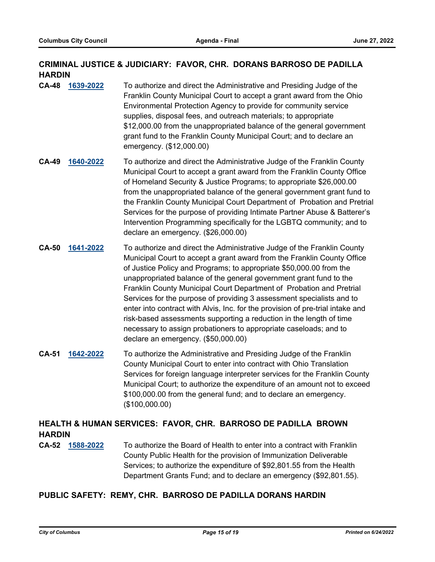# **CRIMINAL JUSTICE & JUDICIARY: FAVOR, CHR. DORANS BARROSO DE PADILLA HARDIN**

- **CA-48 [1639-2022](http://columbus.legistar.com/gateway.aspx?m=l&id=/matter.aspx?key=123159)** To authorize and direct the Administrative and Presiding Judge of the Franklin County Municipal Court to accept a grant award from the Ohio Environmental Protection Agency to provide for community service supplies, disposal fees, and outreach materials; to appropriate \$12,000.00 from the unappropriated balance of the general government grant fund to the Franklin County Municipal Court; and to declare an emergency. (\$12,000.00)
- **CA-49 [1640-2022](http://columbus.legistar.com/gateway.aspx?m=l&id=/matter.aspx?key=123160)** To authorize and direct the Administrative Judge of the Franklin County Municipal Court to accept a grant award from the Franklin County Office of Homeland Security & Justice Programs; to appropriate \$26,000.00 from the unappropriated balance of the general government grant fund to the Franklin County Municipal Court Department of Probation and Pretrial Services for the purpose of providing Intimate Partner Abuse & Batterer's Intervention Programming specifically for the LGBTQ community; and to declare an emergency. (\$26,000.00)
- **CA-50 [1641-2022](http://columbus.legistar.com/gateway.aspx?m=l&id=/matter.aspx?key=123161)** To authorize and direct the Administrative Judge of the Franklin County Municipal Court to accept a grant award from the Franklin County Office of Justice Policy and Programs; to appropriate \$50,000.00 from the unappropriated balance of the general government grant fund to the Franklin County Municipal Court Department of Probation and Pretrial Services for the purpose of providing 3 assessment specialists and to enter into contract with Alvis, Inc. for the provision of pre-trial intake and risk-based assessments supporting a reduction in the length of time necessary to assign probationers to appropriate caseloads; and to declare an emergency. (\$50,000.00)
- **CA-51 [1642-2022](http://columbus.legistar.com/gateway.aspx?m=l&id=/matter.aspx?key=123162)** To authorize the Administrative and Presiding Judge of the Franklin County Municipal Court to enter into contract with Ohio Translation Services for foreign language interpreter services for the Franklin County Municipal Court; to authorize the expenditure of an amount not to exceed \$100,000.00 from the general fund; and to declare an emergency. (\$100,000.00)

# **HEALTH & HUMAN SERVICES: FAVOR, CHR. BARROSO DE PADILLA BROWN HARDIN**

**CA-52 [1588-2022](http://columbus.legistar.com/gateway.aspx?m=l&id=/matter.aspx?key=123108)** To authorize the Board of Health to enter into a contract with Franklin County Public Health for the provision of Immunization Deliverable Services; to authorize the expenditure of \$92,801.55 from the Health Department Grants Fund; and to declare an emergency (\$92,801.55).

## **PUBLIC SAFETY: REMY, CHR. BARROSO DE PADILLA DORANS HARDIN**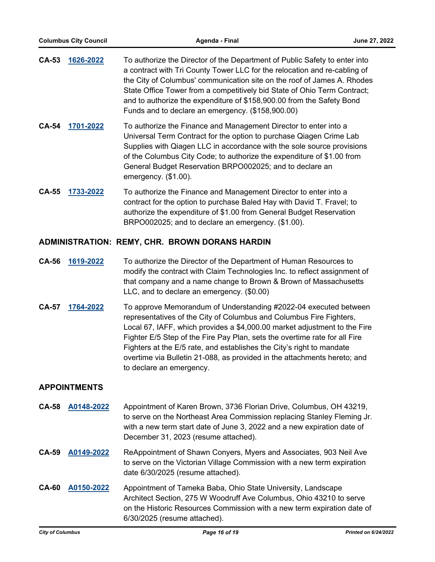| CA-53        | 1626-2022 | To authorize the Director of the Department of Public Safety to enter into<br>a contract with Tri County Tower LLC for the relocation and re-cabling of<br>the City of Columbus' communication site on the roof of James A. Rhodes<br>State Office Tower from a competitively bid State of Ohio Term Contract;<br>and to authorize the expenditure of \$158,900.00 from the Safety Bond<br>Funds and to declare an emergency. (\$158,900.00) |
|--------------|-----------|----------------------------------------------------------------------------------------------------------------------------------------------------------------------------------------------------------------------------------------------------------------------------------------------------------------------------------------------------------------------------------------------------------------------------------------------|
| <b>CA-54</b> | 1701-2022 | To authorize the Finance and Management Director to enter into a                                                                                                                                                                                                                                                                                                                                                                             |

- Universal Term Contract for the option to purchase Qiagen Crime Lab Supplies with Qiagen LLC in accordance with the sole source provisions of the Columbus City Code; to authorize the expenditure of \$1.00 from General Budget Reservation BRPO002025; and to declare an emergency. (\$1.00).
- **CA-55 [1733-2022](http://columbus.legistar.com/gateway.aspx?m=l&id=/matter.aspx?key=123254)** To authorize the Finance and Management Director to enter into a contract for the option to purchase Baled Hay with David T. Fravel; to authorize the expenditure of \$1.00 from General Budget Reservation BRPO002025; and to declare an emergency. (\$1.00).

## **ADMINISTRATION: REMY, CHR. BROWN DORANS HARDIN**

- **CA-56 [1619-2022](http://columbus.legistar.com/gateway.aspx?m=l&id=/matter.aspx?key=123139)** To authorize the Director of the Department of Human Resources to modify the contract with Claim Technologies Inc. to reflect assignment of that company and a name change to Brown & Brown of Massachusetts LLC, and to declare an emergency. (\$0.00)
- **CA-57 [1764-2022](http://columbus.legistar.com/gateway.aspx?m=l&id=/matter.aspx?key=123285)** To approve Memorandum of Understanding #2022-04 executed between representatives of the City of Columbus and Columbus Fire Fighters, Local 67, IAFF, which provides a \$4,000.00 market adjustment to the Fire Fighter E/5 Step of the Fire Pay Plan, sets the overtime rate for all Fire Fighters at the E/5 rate, and establishes the City's right to mandate overtime via Bulletin 21-088, as provided in the attachments hereto; and to declare an emergency.

## **APPOINTMENTS**

- **CA-58 [A0148-2022](http://columbus.legistar.com/gateway.aspx?m=l&id=/matter.aspx?key=123287)** Appointment of Karen Brown, 3736 Florian Drive, Columbus, OH 43219, to serve on the Northeast Area Commission replacing Stanley Fleming Jr. with a new term start date of June 3, 2022 and a new expiration date of December 31, 2023 (resume attached).
- **CA-59 [A0149-2022](http://columbus.legistar.com/gateway.aspx?m=l&id=/matter.aspx?key=123301)** ReAppointment of Shawn Conyers, Myers and Associates, 903 Neil Ave to serve on the Victorian Village Commission with a new term expiration date 6/30/2025 (resume attached).
- **CA-60 [A0150-2022](http://columbus.legistar.com/gateway.aspx?m=l&id=/matter.aspx?key=123302)** Appointment of Tameka Baba, Ohio State University, Landscape Architect Section, 275 W Woodruff Ave Columbus, Ohio 43210 to serve on the Historic Resources Commission with a new term expiration date of 6/30/2025 (resume attached).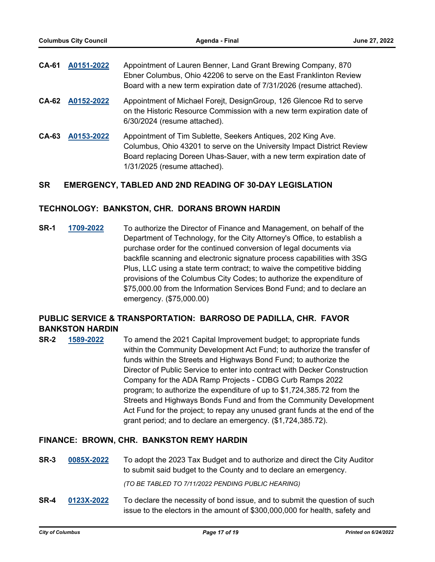| <b>CA-61</b> | A0151-2022 | Appointment of Lauren Benner, Land Grant Brewing Company, 870<br>Ebner Columbus, Ohio 42206 to serve on the East Franklinton Review<br>Board with a new term expiration date of 7/31/2026 (resume attached).                                    |
|--------------|------------|-------------------------------------------------------------------------------------------------------------------------------------------------------------------------------------------------------------------------------------------------|
| <b>CA-62</b> | A0152-2022 | Appointment of Michael Forejt, DesignGroup, 126 Glencoe Rd to serve<br>on the Historic Resource Commission with a new term expiration date of<br>6/30/2024 (resume attached).                                                                   |
| CA-63        | A0153-2022 | Appointment of Tim Sublette, Seekers Antiques, 202 King Ave.<br>Columbus, Ohio 43201 to serve on the University Impact District Review<br>Board replacing Doreen Uhas-Sauer, with a new term expiration date of<br>1/31/2025 (resume attached). |

## **SR EMERGENCY, TABLED AND 2ND READING OF 30-DAY LEGISLATION**

### **TECHNOLOGY: BANKSTON, CHR. DORANS BROWN HARDIN**

**SR-1 [1709-2022](http://columbus.legistar.com/gateway.aspx?m=l&id=/matter.aspx?key=123230)** To authorize the Director of Finance and Management, on behalf of the Department of Technology, for the City Attorney's Office, to establish a purchase order for the continued conversion of legal documents via backfile scanning and electronic signature process capabilities with 3SG Plus, LLC using a state term contract; to waive the competitive bidding provisions of the Columbus City Codes; to authorize the expenditure of \$75,000.00 from the Information Services Bond Fund; and to declare an emergency. (\$75,000.00)

# **PUBLIC SERVICE & TRANSPORTATION: BARROSO DE PADILLA, CHR. FAVOR BANKSTON HARDIN**

**SR-2 [1589-2022](http://columbus.legistar.com/gateway.aspx?m=l&id=/matter.aspx?key=123109)** To amend the 2021 Capital Improvement budget; to appropriate funds within the Community Development Act Fund; to authorize the transfer of funds within the Streets and Highways Bond Fund; to authorize the Director of Public Service to enter into contract with Decker Construction Company for the ADA Ramp Projects - CDBG Curb Ramps 2022 program; to authorize the expenditure of up to \$1,724,385.72 from the Streets and Highways Bonds Fund and from the Community Development Act Fund for the project; to repay any unused grant funds at the end of the grant period; and to declare an emergency. (\$1,724,385.72).

#### **FINANCE: BROWN, CHR. BANKSTON REMY HARDIN**

**SR-3 [0085X-2022](http://columbus.legistar.com/gateway.aspx?m=l&id=/matter.aspx?key=122903)** To adopt the 2023 Tax Budget and to authorize and direct the City Auditor to submit said budget to the County and to declare an emergency.

*(TO BE TABLED TO 7/11/2022 PENDING PUBLIC HEARING)*

**SR-4 [0123X-2022](http://columbus.legistar.com/gateway.aspx?m=l&id=/matter.aspx?key=123334)** To declare the necessity of bond issue, and to submit the question of such issue to the electors in the amount of \$300,000,000 for health, safety and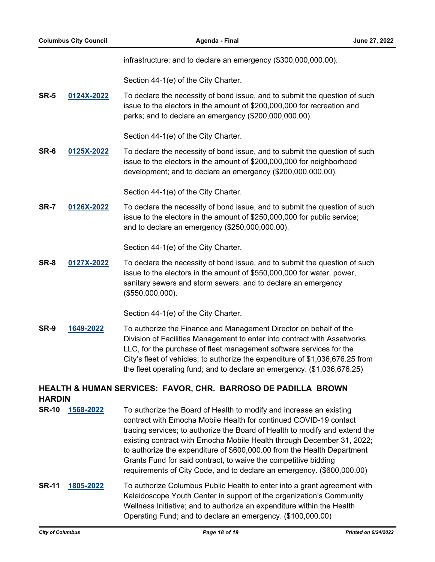infrastructure; and to declare an emergency (\$300,000,000.00).

Section 44-1(e) of the City Charter.

**SR-5 [0124X-2022](http://columbus.legistar.com/gateway.aspx?m=l&id=/matter.aspx?key=123335)** To declare the necessity of bond issue, and to submit the question of such issue to the electors in the amount of \$200,000,000 for recreation and parks; and to declare an emergency (\$200,000,000.00).

Section 44-1(e) of the City Charter.

**SR-6 [0125X-2022](http://columbus.legistar.com/gateway.aspx?m=l&id=/matter.aspx?key=123336)** To declare the necessity of bond issue, and to submit the question of such issue to the electors in the amount of \$200,000,000 for neighborhood development; and to declare an emergency (\$200,000,000.00).

Section 44-1(e) of the City Charter.

**SR-7 [0126X-2022](http://columbus.legistar.com/gateway.aspx?m=l&id=/matter.aspx?key=123337)** To declare the necessity of bond issue, and to submit the question of such issue to the electors in the amount of \$250,000,000 for public service; and to declare an emergency (\$250,000,000.00).

Section 44-1(e) of the City Charter.

**SR-8 [0127X-2022](http://columbus.legistar.com/gateway.aspx?m=l&id=/matter.aspx?key=123338)** To declare the necessity of bond issue, and to submit the question of such issue to the electors in the amount of \$550,000,000 for water, power, sanitary sewers and storm sewers; and to declare an emergency (\$550,000,000).

Section 44-1(e) of the City Charter.

**SR-9 [1649-2022](http://columbus.legistar.com/gateway.aspx?m=l&id=/matter.aspx?key=123169)** To authorize the Finance and Management Director on behalf of the Division of Facilities Management to enter into contract with Assetworks LLC, for the purchase of fleet management software services for the City's fleet of vehicles; to authorize the expenditure of \$1,036,676.25 from the fleet operating fund; and to declare an emergency. (\$1,036,676.25)

# **HEALTH & HUMAN SERVICES: FAVOR, CHR. BARROSO DE PADILLA BROWN HARDIN**

**SR-10 [1568-2022](http://columbus.legistar.com/gateway.aspx?m=l&id=/matter.aspx?key=123086)** To authorize the Board of Health to modify and increase an existing contract with Emocha Mobile Health for continued COVID-19 contact tracing services; to authorize the Board of Health to modify and extend the existing contract with Emocha Mobile Health through December 31, 2022; to authorize the expenditure of \$600,000.00 from the Health Department Grants Fund for said contract, to waive the competitive bidding requirements of City Code, and to declare an emergency. (\$600,000.00) **SR-11 [1805-2022](http://columbus.legistar.com/gateway.aspx?m=l&id=/matter.aspx?key=123328)** To authorize Columbus Public Health to enter into a grant agreement with Kaleidoscope Youth Center in support of the organization's Community Wellness Initiative; and to authorize an expenditure within the Health Operating Fund; and to declare an emergency. (\$100,000.00)